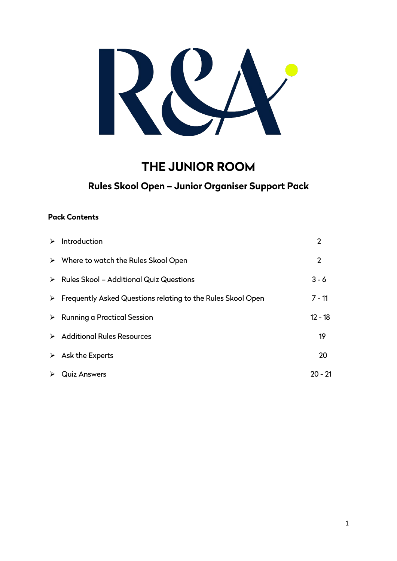

# **THE JUNIOR ROOM**

# **Rules Skool Open – Junior Organiser Support Pack**

# **Pack Contents**

|                       | $\triangleright$ Introduction                                                | 2              |
|-----------------------|------------------------------------------------------------------------------|----------------|
|                       | $\triangleright$ Where to watch the Rules Skool Open                         | $\overline{2}$ |
|                       | $\triangleright$ Rules Skool – Additional Quiz Questions                     | $3 - 6$        |
|                       | $\triangleright$ Frequently Asked Questions relating to the Rules Skool Open | $7 - 11$       |
|                       | $\triangleright$ Running a Practical Session                                 | $12 - 18$      |
|                       | > Additional Rules Resources                                                 | 19             |
|                       | $\triangleright$ Ask the Experts                                             | 20             |
| $\blacktriangleright$ | <b>Quiz Answers</b>                                                          | 20 - 21        |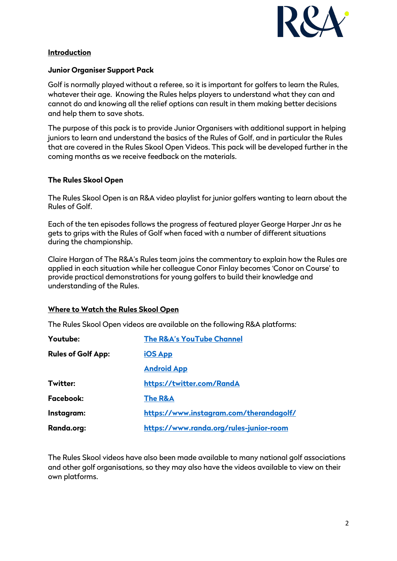

#### **Introduction**

#### **Junior Organiser Support Pack**

Golf is normally played without a referee, so it is important for golfers to learn the Rules, whatever their age. Knowing the Rules helps players to understand what they can and cannot do and knowing all the relief options can result in them making better decisions and help them to save shots.

The purpose of this pack is to provide Junior Organisers with additional support in helping juniors to learn and understand the basics of the Rules of Golf, and in particular the Rules that are covered in the Rules Skool Open Videos. This pack will be developed further in the coming months as we receive feedback on the materials.

#### **The Rules Skool Open**

The Rules Skool Open is an R&A video playlist for junior golfers wanting to learn about the Rules of Golf.

Each of the ten episodes follows the progress of featured player George Harper Jnr as he gets to grips with the Rules of Golf when faced with a number of different situations during the championship.

Claire Hargan of The R&A's Rules team joins the commentary to explain how the Rules are applied in each situation while her colleague Conor Finlay becomes 'Conor on Course' to provide practical demonstrations for young golfers to build their knowledge and understanding of the Rules.

#### **Where to Watch the Rules Skool Open**

The Rules Skool Open videos are available on the following R&A platforms:

| Youtube:                                              | <b>The R&amp;A's YouTube Channel</b>    |
|-------------------------------------------------------|-----------------------------------------|
| <b>Rules of Golf App:</b>                             | <b>iOS App</b>                          |
|                                                       | <b>Android App</b>                      |
| Twitter:                                              | https://twitter.com/RandA               |
| Facebook:                                             | The R&A                                 |
| Instagram:                                            | https://www.instagram.com/therandagolf/ |
| Randa.org:<br>https://www.randa.org/rules-junior-room |                                         |

The Rules Skool videos have also been made available to many national golf associations and other golf organisations, so they may also have the videos available to view on their own platforms.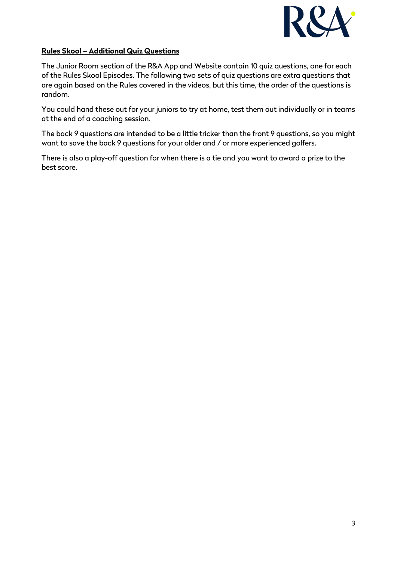

### **Rules Skool – Additional Quiz Questions**

The Junior Room section of the R&A App and Website contain 10 quiz questions, one for each of the Rules Skool Episodes. The following two sets of quiz questions are extra questions that are again based on the Rules covered in the videos, but this time, the order of the questions is random.

You could hand these out for your juniors to try at home, test them out individually or in teams at the end of a coaching session.

The back 9 questions are intended to be a little tricker than the front 9 questions, so you might want to save the back 9 questions for your older and / or more experienced golfers.

There is also a play-off question for when there is a tie and you want to award a prize to the best score.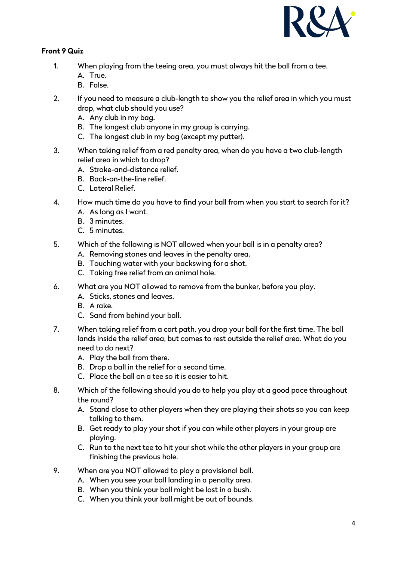

# **Front 9 Quiz**

- 1. When playing from the teeing area, you must always hit the ball from a tee.
	- A. True.
	- B. False.
- 2. If you need to measure a club-length to show you the relief area in which you must drop, what club should you use?
	- A. Any club in my bag.
	- B. The longest club anyone in my group is carrying.
	- C. The longest club in my bag (except my putter).
- 3. When taking relief from a red penalty area, when do you have a two club-length relief area in which to drop?
	- A. Stroke-and-distance relief.
	- B. Back-on-the-line relief.
	- C. Lateral Relief.
- 4. How much time do you have to find your ball from when you start to search for it?
	- A. As long as I want.
	- B. 3 minutes.
	- C. 5 minutes.
- 5. Which of the following is NOT allowed when your ball is in a penalty area?
	- A. Removing stones and leaves in the penalty area.
	- B. Touching water with your backswing for a shot.
	- C. Taking free relief from an animal hole.
- 6. What are you NOT allowed to remove from the bunker, before you play.
	- A. Sticks, stones and leaves.
	- B. A rake.
	- C. Sand from behind your ball.
- 7. When taking relief from a cart path, you drop your ball for the first time. The ball lands inside the relief area, but comes to rest outside the relief area. What do you need to do next?
	- A. Play the ball from there.
	- B. Drop a ball in the relief for a second time.
	- C. Place the ball on a tee so it is easier to hit.
- 8. Which of the following should you do to help you play at a good pace throughout the round?
	- A. Stand close to other players when they are playing their shots so you can keep talking to them.
	- B. Get ready to play your shot if you can while other players in your group are playing.
	- C. Run to the next tee to hit your shot while the other players in your group are finishing the previous hole.
- 9. When are you NOT allowed to play a provisional ball.
	- A. When you see your ball landing in a penalty area.
	- B. When you think your ball might be lost in a bush.
	- C. When you think your ball might be out of bounds.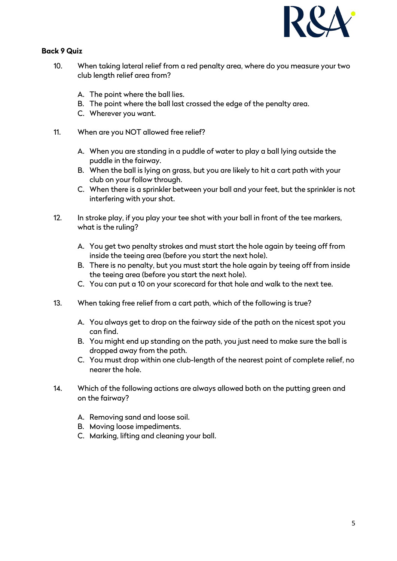

# **Back 9 Quiz**

- 10. When taking lateral relief from a red penalty area, where do you measure your two club length relief area from?
	- A. The point where the ball lies.
	- B. The point where the ball last crossed the edge of the penalty area.
	- C. Wherever you want.
- 11. When are you NOT allowed free relief?
	- A. When you are standing in a puddle of water to play a ball lying outside the puddle in the fairway.
	- B. When the ball is lying on grass, but you are likely to hit a cart path with your club on your follow through.
	- C. When there is a sprinkler between your ball and your feet, but the sprinkler is not interfering with your shot.
- 12. In stroke play, if you play your tee shot with your ball in front of the tee markers, what is the ruling?
	- A. You get two penalty strokes and must start the hole again by teeing off from inside the teeing area (before you start the next hole).
	- B. There is no penalty, but you must start the hole again by teeing off from inside the teeing area (before you start the next hole).
	- C. You can put a 10 on your scorecard for that hole and walk to the next tee.
- 13. When taking free relief from a cart path, which of the following is true?
	- A. You always get to drop on the fairway side of the path on the nicest spot you can find.
	- B. You might end up standing on the path, you just need to make sure the ball is dropped away from the path.
	- C. You must drop within one club-length of the nearest point of complete relief, no nearer the hole.
- 14. Which of the following actions are always allowed both on the putting green and on the fairway?
	- A. Removing sand and loose soil.
	- B. Moving loose impediments.
	- C. Marking, lifting and cleaning your ball.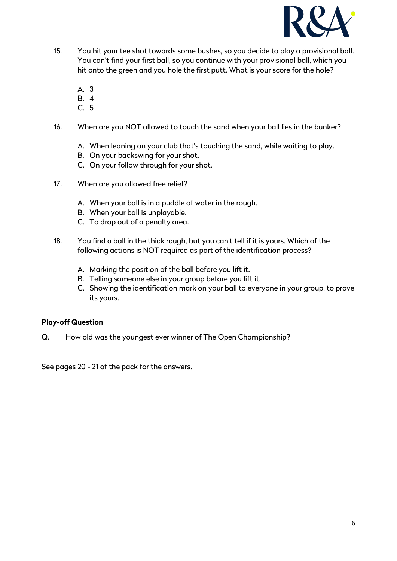

- 15. You hit your tee shot towards some bushes, so you decide to play a provisional ball. You can't find your first ball, so you continue with your provisional ball, which you hit onto the green and you hole the first putt. What is your score for the hole?
	- A. 3
	- B. 4
	- C. 5
- 16. When are you NOT allowed to touch the sand when your ball lies in the bunker?
	- A. When leaning on your club that's touching the sand, while waiting to play.
	- B. On your backswing for your shot.
	- C. On your follow through for your shot.
- 17. When are you allowed free relief?
	- A. When your ball is in a puddle of water in the rough.
	- B. When your ball is unplayable.
	- C. To drop out of a penalty area.
- 18. You find a ball in the thick rough, but you can't tell if it is yours. Which of the following actions is NOT required as part of the identification process?
	- A. Marking the position of the ball before you lift it.
	- B. Telling someone else in your group before you lift it.
	- C. Showing the identification mark on your ball to everyone in your group, to prove its yours.

#### **Play-off Question**

Q. How old was the youngest ever winner of The Open Championship?

See pages 20 - 21 of the pack for the answers.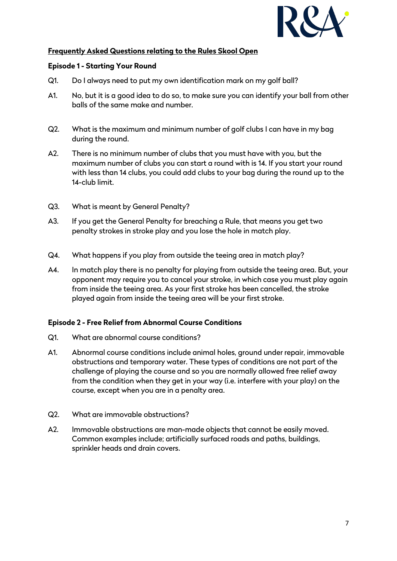

# **Frequently Asked Questions relating to the Rules Skool Open**

#### **Episode 1 - Starting Your Round**

- Q1. Do I always need to put my own identification mark on my golf ball?
- A1. No, but it is a good idea to do so, to make sure you can identify your ball from other balls of the same make and number.
- Q2. What is the maximum and minimum number of golf clubs I can have in my bag during the round.
- A2. There is no minimum number of clubs that you must have with you, but the maximum number of clubs you can start a round with is 14. If you start your round with less than 14 clubs, you could add clubs to your bag during the round up to the 14-club limit.
- Q3. What is meant by General Penalty?
- A3. If you get the General Penalty for breaching a Rule, that means you get two penalty strokes in stroke play and you lose the hole in match play.
- Q4. What happens if you play from outside the teeing area in match play?
- A4. In match play there is no penalty for playing from outside the teeing area. But, your opponent may require you to cancel your stroke, in which case you must play again from inside the teeing area. As your first stroke has been cancelled, the stroke played again from inside the teeing area will be your first stroke.

#### **Episode 2 - Free Relief from Abnormal Course Conditions**

- Q1. What are abnormal course conditions?
- A1. Abnormal course conditions include animal holes, ground under repair, immovable obstructions and temporary water. These types of conditions are not part of the challenge of playing the course and so you are normally allowed free relief away from the condition when they get in your way (i.e. interfere with your play) on the course, except when you are in a penalty area.
- Q2. What are immovable obstructions?
- A2. Immovable obstructions are man-made objects that cannot be easily moved. Common examples include; artificially surfaced roads and paths, buildings, sprinkler heads and drain covers.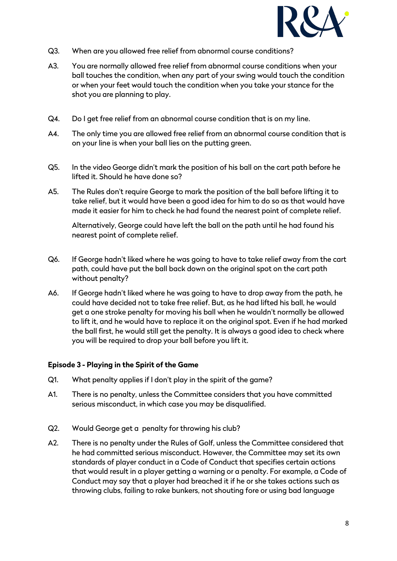

- Q3. When are you allowed free relief from abnormal course conditions?
- A3. You are normally allowed free relief from abnormal course conditions when your ball touches the condition, when any part of your swing would touch the condition or when your feet would touch the condition when you take your stance for the shot you are planning to play.
- Q4. Do I get free relief from an abnormal course condition that is on my line.
- A4. The only time you are allowed free relief from an abnormal course condition that is on your line is when your ball lies on the putting green.
- Q5. In the video George didn't mark the position of his ball on the cart path before he lifted it. Should he have done so?
- A5. The Rules don't require George to mark the position of the ball before lifting it to take relief, but it would have been a good idea for him to do so as that would have made it easier for him to check he had found the nearest point of complete relief.

Alternatively, George could have left the ball on the path until he had found his nearest point of complete relief.

- Q6. If George hadn't liked where he was going to have to take relief away from the cart path, could have put the ball back down on the original spot on the cart path without penalty?
- A6. If George hadn't liked where he was going to have to drop away from the path, he could have decided not to take free relief. But, as he had lifted his ball, he would get a one stroke penalty for moving his ball when he wouldn't normally be allowed to lift it, and he would have to replace it on the original spot. Even if he had marked the ball first, he would still get the penalty. It is always a good idea to check where you will be required to drop your ball before you lift it.

#### **Episode 3 - Playing in the Spirit of the Game**

- Q1. What penalty applies if I don't play in the spirit of the game?
- A1. There is no penalty, unless the Committee considers that you have committed serious misconduct, in which case you may be disqualified.
- Q2. Would George get a penalty for throwing his club?
- A2. There is no penalty under the Rules of Golf, unless the Committee considered that he had committed serious misconduct. However, the Committee may set its own standards of player conduct in a Code of Conduct that specifies certain actions that would result in a player getting a warning or a penalty. For example, a Code of Conduct may say that a player had breached it if he or she takes actions such as throwing clubs, failing to rake bunkers, not shouting fore or using bad language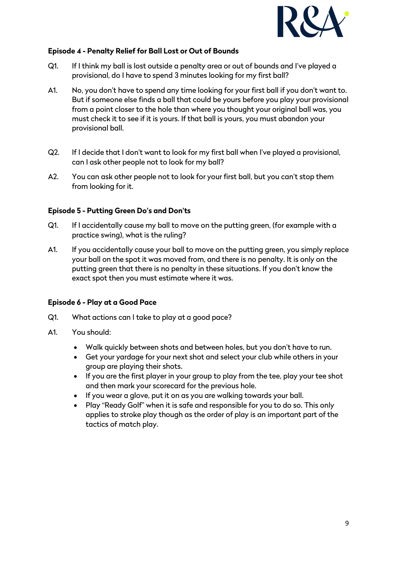

#### **Episode 4 - Penalty Relief for Ball Lost or Out of Bounds**

- Q1. If I think my ball is lost outside a penalty area or out of bounds and I've played a provisional, do I have to spend 3 minutes looking for my first ball?
- A1. No, you don't have to spend any time looking for your first ball if you don't want to. But if someone else finds a ball that could be yours before you play your provisional from a point closer to the hole than where you thought your original ball was, you must check it to see if it is yours. If that ball is yours, you must abandon your provisional ball.
- Q2. If I decide that I don't want to look for my first ball when I've played a provisional, can I ask other people not to look for my ball?
- A2. You can ask other people not to look for your first ball, but you can't stop them from looking for it.

### **Episode 5 - Putting Green Do's and Don'ts**

- Q1. If I accidentally cause my ball to move on the putting green, (for example with a practice swing), what is the ruling?
- A1. If you accidentally cause your ball to move on the putting green, you simply replace your ball on the spot it was moved from, and there is no penalty. It is only on the putting green that there is no penalty in these situations. If you don't know the exact spot then you must estimate where it was.

### **Episode 6 - Play at a Good Pace**

- Q1. What actions can I take to play at a good pace?
- A1. You should:
	- Walk quickly between shots and between holes, but you don't have to run.
	- Get your yardage for your next shot and select your club while others in your group are playing their shots.
	- If you are the first player in your group to play from the tee, play your tee shot and then mark your scorecard for the previous hole.
	- If you wear a glove, put it on as you are walking towards your ball.
	- Play "Ready Golf" when it is safe and responsible for you to do so. This only applies to stroke play though as the order of play is an important part of the tactics of match play.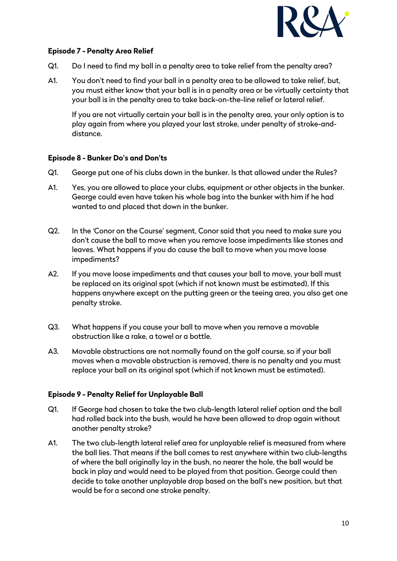

### **Episode 7 - Penalty Area Relief**

- Q1. Do I need to find my ball in a penalty area to take relief from the penalty area?
- A1. You don't need to find your ball in a penalty area to be allowed to take relief, but, you must either know that your ball is in a penalty area or be virtually certainty that your ball is in the penalty area to take back-on-the-line relief or lateral relief.

If you are not virtually certain your ball is in the penalty area, your only option is to play again from where you played your last stroke, under penalty of stroke-anddistance.

### **Episode 8 - Bunker Do's and Don'ts**

- Q1. George put one of his clubs down in the bunker. Is that allowed under the Rules?
- A1. Yes, you are allowed to place your clubs, equipment or other objects in the bunker. George could even have taken his whole bag into the bunker with him if he had wanted to and placed that down in the bunker.
- Q2. In the 'Conor on the Course' segment, Conor said that you need to make sure you don't cause the ball to move when you remove loose impediments like stones and leaves. What happens if you do cause the ball to move when you move loose impediments?
- A2. If you move loose impediments and that causes your ball to move, your ball must be replaced on its original spot (which if not known must be estimated). If this happens anywhere except on the putting green or the teeing area, you also get one penalty stroke.
- Q3. What happens if you cause your ball to move when you remove a movable obstruction like a rake, a towel or a bottle.
- A3. Movable obstructions are not normally found on the golf course, so if your ball moves when a movable obstruction is removed, there is no penalty and you must replace your ball on its original spot (which if not known must be estimated).

### **Episode 9 - Penalty Relief for Unplayable Ball**

- Q1. If George had chosen to take the two club-length lateral relief option and the ball had rolled back into the bush, would he have been allowed to drop again without another penalty stroke?
- A1. The two club-length lateral relief area for unplayable relief is measured from where the ball lies. That means if the ball comes to rest anywhere within two club-lengths of where the ball originally lay in the bush, no nearer the hole, the ball would be back in play and would need to be played from that position. George could then decide to take another unplayable drop based on the ball's new position, but that would be for a second one stroke penalty.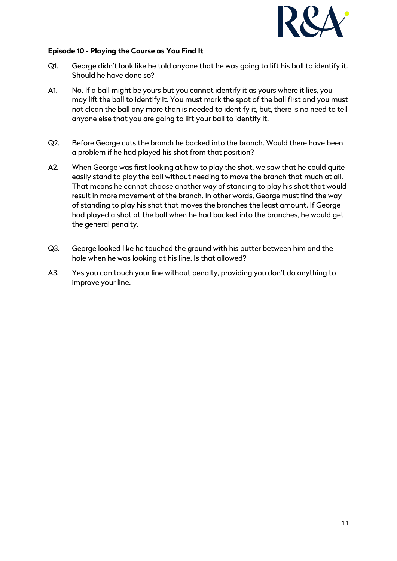

#### **Episode 10 - Playing the Course as You Find It**

- Q1. George didn't look like he told anyone that he was going to lift his ball to identify it. Should he have done so?
- A1. No. If a ball might be yours but you cannot identify it as yours where it lies, you may lift the ball to identify it. You must mark the spot of the ball first and you must not clean the ball any more than is needed to identify it, but, there is no need to tell anyone else that you are going to lift your ball to identify it.
- Q2. Before George cuts the branch he backed into the branch. Would there have been a problem if he had played his shot from that position?
- A2. When George was first looking at how to play the shot, we saw that he could quite easily stand to play the ball without needing to move the branch that much at all. That means he cannot choose another way of standing to play his shot that would result in more movement of the branch. In other words, George must find the way of standing to play his shot that moves the branches the least amount. If George had played a shot at the ball when he had backed into the branches, he would get the general penalty.
- Q3. George looked like he touched the ground with his putter between him and the hole when he was looking at his line. Is that allowed?
- A3. Yes you can touch your line without penalty, providing you don't do anything to improve your line.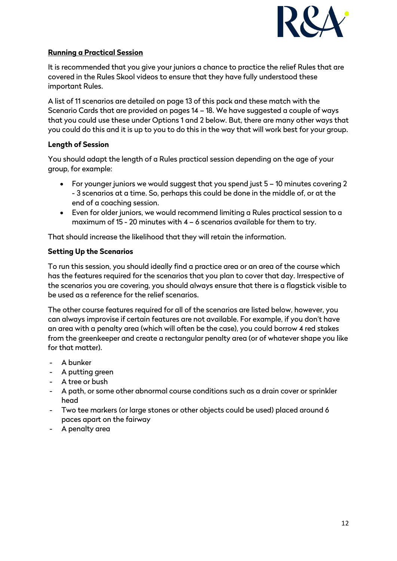

### **Running a Practical Session**

It is recommended that you give your juniors a chance to practice the relief Rules that are covered in the Rules Skool videos to ensure that they have fully understood these important Rules.

A list of 11 scenarios are detailed on page 13 of this pack and these match with the Scenario Cards that are provided on pages 14 – 18. We have suggested a couple of ways that you could use these under Options 1 and 2 below. But, there are many other ways that you could do this and it is up to you to do this in the way that will work best for your group.

# **Length of Session**

You should adapt the length of a Rules practical session depending on the age of your group, for example:

- For younger juniors we would suggest that you spend just 5 10 minutes covering 2 - 3 scenarios at a time. So, perhaps this could be done in the middle of, or at the end of a coaching session.
- Even for older juniors, we would recommend limiting a Rules practical session to a maximum of 15 - 20 minutes with 4 – 6 scenarios available for them to try.

That should increase the likelihood that they will retain the information.

# **Setting Up the Scenarios**

To run this session, you should ideally find a practice area or an area of the course which has the features required for the scenarios that you plan to cover that day. Irrespective of the scenarios you are covering, you should always ensure that there is a flagstick visible to be used as a reference for the relief scenarios.

The other course features required for all of the scenarios are listed below, however, you can always improvise if certain features are not available. For example, if you don't have an area with a penalty area (which will often be the case), you could borrow 4 red stakes from the greenkeeper and create a rectangular penalty area (or of whatever shape you like for that matter).

- A bunker
- A putting green
- A tree or bush
- A path, or some other abnormal course conditions such as a drain cover or sprinkler head
- Two tee markers (or large stones or other objects could be used) placed around 6 paces apart on the fairway
- A penalty area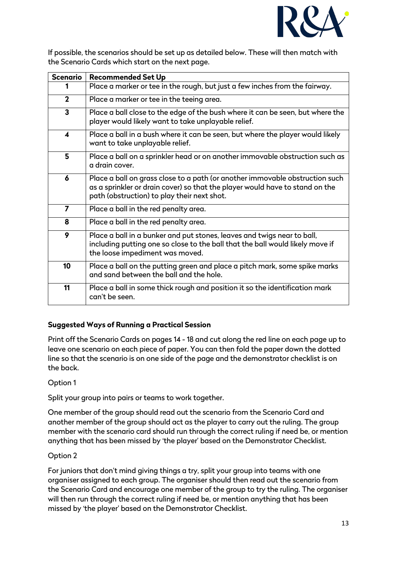

If possible, the scenarios should be set up as detailed below. These will then match with the Scenario Cards which start on the next page.

| <b>Scenario</b> | <b>Recommended Set Up</b>                                                                                                                                                                                   |  |  |
|-----------------|-------------------------------------------------------------------------------------------------------------------------------------------------------------------------------------------------------------|--|--|
|                 | Place a marker or tee in the rough, but just a few inches from the fairway.                                                                                                                                 |  |  |
| $\mathbf{2}$    | Place a marker or tee in the teeing area.                                                                                                                                                                   |  |  |
| 3               | Place a ball close to the edge of the bush where it can be seen, but where the<br>player would likely want to take unplayable relief.                                                                       |  |  |
| ◢               | Place a ball in a bush where it can be seen, but where the player would likely<br>want to take unplayable relief.                                                                                           |  |  |
| 5               | Place a ball on a sprinkler head or on another immovable obstruction such as<br>a drain cover.                                                                                                              |  |  |
| 6               | Place a ball on grass close to a path (or another immovable obstruction such<br>as a sprinkler or drain cover) so that the player would have to stand on the<br>path (obstruction) to play their next shot. |  |  |
| $\overline{7}$  | Place a ball in the red penalty area.                                                                                                                                                                       |  |  |
| 8               | Place a ball in the red penalty area.                                                                                                                                                                       |  |  |
| 9               | Place a ball in a bunker and put stones, leaves and twigs near to ball,<br>including putting one so close to the ball that the ball would likely move if<br>the loose impediment was moved.                 |  |  |
| 10              | Place a ball on the putting green and place a pitch mark, some spike marks<br>and sand between the ball and the hole.                                                                                       |  |  |
| 11              | Place a ball in some thick rough and position it so the identification mark<br>can't be seen.                                                                                                               |  |  |

# **Suggested Ways of Running a Practical Session**

Print off the Scenario Cards on pages 14 - 18 and cut along the red line on each page up to leave one scenario on each piece of paper. You can then fold the paper down the dotted line so that the scenario is on one side of the page and the demonstrator checklist is on the back.

### Option 1

Split your group into pairs or teams to work together.

One member of the group should read out the scenario from the Scenario Card and another member of the group should act as the player to carry out the ruling. The group member with the scenario card should run through the correct ruling if need be, or mention anything that has been missed by 'the player' based on the Demonstrator Checklist.

### Option 2

For juniors that don't mind giving things a try, split your group into teams with one organiser assigned to each group. The organiser should then read out the scenario from the Scenario Card and encourage one member of the group to try the ruling. The organiser will then run through the correct ruling if need be, or mention anything that has been missed by 'the player' based on the Demonstrator Checklist.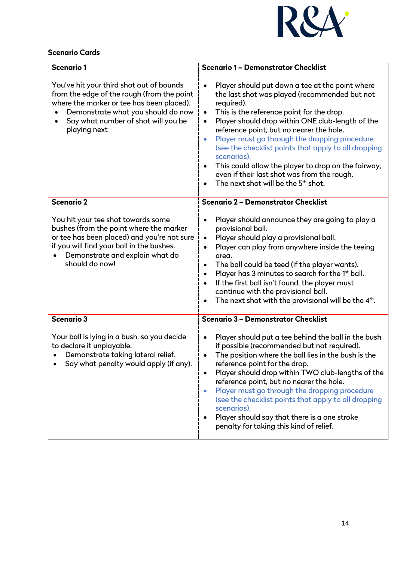

# **Scenario Cards**

| <b>Scenario 1</b>                                                                                                                                                                                                                           | <b>Scenario 1 - Demonstrator Checklist</b>                                                                                                                                                                                                                                                                                                                                                                                                                                                                                                                                          |
|---------------------------------------------------------------------------------------------------------------------------------------------------------------------------------------------------------------------------------------------|-------------------------------------------------------------------------------------------------------------------------------------------------------------------------------------------------------------------------------------------------------------------------------------------------------------------------------------------------------------------------------------------------------------------------------------------------------------------------------------------------------------------------------------------------------------------------------------|
| You've hit your third shot out of bounds<br>from the edge of the rough (from the point<br>where the marker or tee has been placed).<br>Demonstrate what you should do now<br>Say what number of shot will you be<br>playing next            | Player should put down a tee at the point where<br>the last shot was played (recommended but not<br>required).<br>This is the reference point for the drop.<br>$\bullet$<br>Player should drop within ONE club-length of the<br>$\bullet$<br>reference point, but no nearer the hole.<br>Player must go through the dropping procedure<br>$\bullet$<br>(see the checklist points that apply to all dropping<br>scenarios).<br>This could allow the player to drop on the fairway,<br>even if their last shot was from the rough.<br>The next shot will be the 5 <sup>th</sup> shot. |
| <b>Scenario 2</b>                                                                                                                                                                                                                           | <b>Scenario 2 - Demonstrator Checklist</b>                                                                                                                                                                                                                                                                                                                                                                                                                                                                                                                                          |
| You hit your tee shot towards some<br>bushes (from the point where the marker<br>or tee has been placed) and you're not sure<br>if you will find your ball in the bushes.<br>Demonstrate and explain what do<br>$\bullet$<br>should do now! | Player should announce they are going to play a<br>provisional ball.<br>Player should play a provisional ball.<br>$\bullet$<br>Player can play from anywhere inside the teeing<br>$\bullet$<br>area.<br>The ball could be teed (if the player wants).<br>Player has 3 minutes to search for the 1st ball.<br>If the first ball isn't found, the player must<br>$\bullet$<br>continue with the provisional ball.<br>The next shot with the provisional will be the 4 <sup>th</sup> .                                                                                                 |
| <b>Scenario 3</b>                                                                                                                                                                                                                           | Scenario 3 - Demonstrator Checklist                                                                                                                                                                                                                                                                                                                                                                                                                                                                                                                                                 |
| Your ball is lying in a bush, so you decide<br>to declare it unplayable.<br>Demonstrate taking lateral relief.<br>Say what penalty would apply (if any).                                                                                    | Player should put a tee behind the ball in the bush<br>if possible (recommended but not required).<br>The position where the ball lies in the bush is the<br>reference point for the drop.<br>Player should drop within TWO club-lengths of the<br>reference point, but no nearer the hole.<br>Player must go through the dropping procedure<br>$\bullet$<br>(see the checklist points that apply to all dropping<br>scenarios).<br>Player should say that there is a one stroke<br>penalty for taking this kind of relief.                                                         |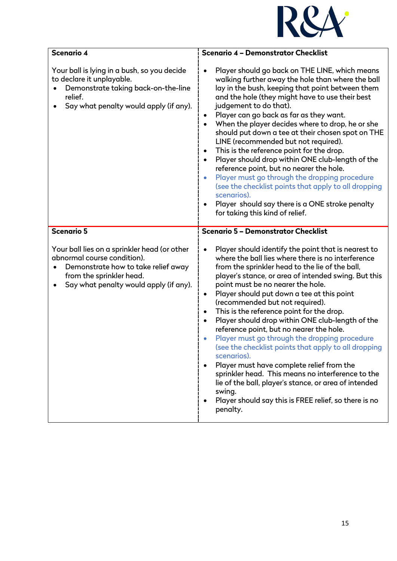

| Scenario 4                                                                                                                                                                               | Scenario 4 - Demonstrator Checklist                                                                                                                                                                                                                                                                                                                                                                                                                                                                                                                                                                                                                                                                                                                                                                                                                                                                                |
|------------------------------------------------------------------------------------------------------------------------------------------------------------------------------------------|--------------------------------------------------------------------------------------------------------------------------------------------------------------------------------------------------------------------------------------------------------------------------------------------------------------------------------------------------------------------------------------------------------------------------------------------------------------------------------------------------------------------------------------------------------------------------------------------------------------------------------------------------------------------------------------------------------------------------------------------------------------------------------------------------------------------------------------------------------------------------------------------------------------------|
| Your ball is lying in a bush, so you decide<br>to declare it unplayable.<br>Demonstrate taking back-on-the-line<br>relief.<br>Say what penalty would apply (if any).<br>٠                | Player should go back on THE LINE, which means<br>walking further away the hole than where the ball<br>lay in the bush, keeping that point between them<br>and the hole (they might have to use their best<br>judgement to do that).<br>Player can go back as far as they want.<br>When the player decides where to drop, he or she<br>$\bullet$<br>should put down a tee at their chosen spot on THE<br>LINE (recommended but not required).<br>This is the reference point for the drop.<br>$\bullet$<br>Player should drop within ONE club-length of the<br>$\bullet$<br>reference point, but no nearer the hole.<br>Player must go through the dropping procedure<br>(see the checklist points that apply to all dropping<br>scenarios).<br>Player should say there is a ONE stroke penalty<br>for taking this kind of relief.                                                                                 |
| <b>Scenario 5</b>                                                                                                                                                                        | <b>Scenario 5 - Demonstrator Checklist</b>                                                                                                                                                                                                                                                                                                                                                                                                                                                                                                                                                                                                                                                                                                                                                                                                                                                                         |
| Your ball lies on a sprinkler head (or other<br>abnormal course condition).<br>Demonstrate how to take relief away<br>from the sprinkler head.<br>Say what penalty would apply (if any). | Player should identify the point that is nearest to<br>where the ball lies where there is no interference<br>from the sprinkler head to the lie of the ball,<br>player's stance, or area of intended swing. But this<br>point must be no nearer the hole.<br>Player should put down a tee at this point<br>٠<br>(recommended but not required).<br>This is the reference point for the drop.<br>$\bullet$<br>Player should drop within ONE club-length of the<br>$\bullet$<br>reference point, but no nearer the hole.<br>Player must go through the dropping procedure<br>(see the checklist points that apply to all dropping<br>scenarios).<br>Player must have complete relief from the<br>$\bullet$<br>sprinkler head. This means no interference to the<br>lie of the ball, player's stance, or area of intended<br>swing.<br>Player should say this is FREE relief, so there is no<br>$\bullet$<br>penalty. |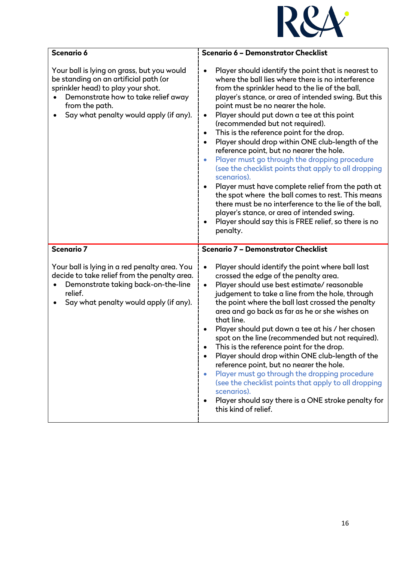

| Scenario 6                                                                                                                                                                                                                   | Scenario 6 - Demonstrator Checklist                                                                                                                                                                                                                                                                                                                                                                                                                                                                                                                                                                                                                                                                                                                                                                                                                                                                                                                        |
|------------------------------------------------------------------------------------------------------------------------------------------------------------------------------------------------------------------------------|------------------------------------------------------------------------------------------------------------------------------------------------------------------------------------------------------------------------------------------------------------------------------------------------------------------------------------------------------------------------------------------------------------------------------------------------------------------------------------------------------------------------------------------------------------------------------------------------------------------------------------------------------------------------------------------------------------------------------------------------------------------------------------------------------------------------------------------------------------------------------------------------------------------------------------------------------------|
| Your ball is lying on grass, but you would<br>be standing on an artificial path (or<br>sprinkler head) to play your shot.<br>Demonstrate how to take relief away<br>from the path.<br>Say what penalty would apply (if any). | Player should identify the point that is nearest to<br>where the ball lies where there is no interference<br>from the sprinkler head to the lie of the ball,<br>player's stance, or area of intended swing. But this<br>point must be no nearer the hole.<br>Player should put down a tee at this point<br>$\bullet$<br>(recommended but not required).<br>This is the reference point for the drop.<br>$\bullet$<br>Player should drop within ONE club-length of the<br>$\bullet$<br>reference point, but no nearer the hole.<br>Player must go through the dropping procedure<br>(see the checklist points that apply to all dropping<br>scenarios).<br>Player must have complete relief from the path at<br>the spot where the ball comes to rest. This means<br>there must be no interference to the lie of the ball,<br>player's stance, or area of intended swing.<br>Player should say this is FREE relief, so there is no<br>$\bullet$<br>penalty. |
| <b>Scenario 7</b>                                                                                                                                                                                                            | Scenario 7 - Demonstrator Checklist                                                                                                                                                                                                                                                                                                                                                                                                                                                                                                                                                                                                                                                                                                                                                                                                                                                                                                                        |
| Your ball is lying in a red penalty area. You<br>decide to take relief from the penalty area.<br>Demonstrate taking back-on-the-line<br>relief.<br>Say what penalty would apply (if any).                                    | Player should identify the point where ball last<br>crossed the edge of the penalty area.<br>Player should use best estimate/reasonable<br>judgement to take a line from the hole, through<br>the point where the ball last crossed the penalty<br>area and go back as far as he or she wishes on<br>that line.<br>Player should put down a tee at his / her chosen<br>spot on the line (recommended but not required).<br>This is the reference point for the drop.<br>Player should drop within ONE club-length of the<br>reference point, but no nearer the hole.<br>Player must go through the dropping procedure<br>$\bullet$<br>(see the checklist points that apply to all dropping<br>scenarios).<br>Player should say there is a ONE stroke penalty for<br>$\bullet$<br>this kind of relief.                                                                                                                                                      |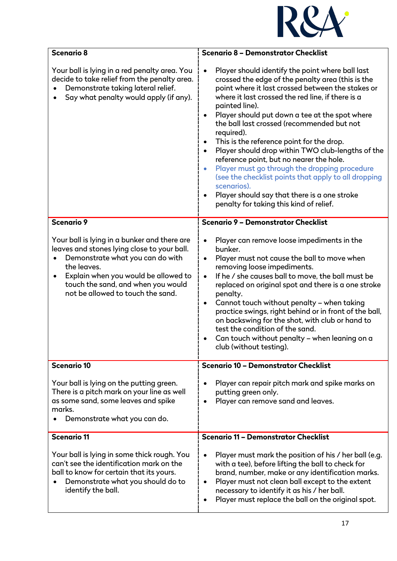

| Scenario 8                                                                                                                                                                                                                                                                                  | <b>Scenario 8 - Demonstrator Checklist</b>                                                                                                                                                                                                                                                                                                                                                                                                                                                                                                                                                                                                                                                                                                                                                     |
|---------------------------------------------------------------------------------------------------------------------------------------------------------------------------------------------------------------------------------------------------------------------------------------------|------------------------------------------------------------------------------------------------------------------------------------------------------------------------------------------------------------------------------------------------------------------------------------------------------------------------------------------------------------------------------------------------------------------------------------------------------------------------------------------------------------------------------------------------------------------------------------------------------------------------------------------------------------------------------------------------------------------------------------------------------------------------------------------------|
| Your ball is lying in a red penalty area. You<br>decide to take relief from the penalty area.<br>Demonstrate taking lateral relief.<br>Say what penalty would apply (if any).                                                                                                               | Player should identify the point where ball last<br>$\bullet$<br>crossed the edge of the penalty area (this is the<br>point where it last crossed between the stakes or<br>where it last crossed the red line, if there is a<br>painted line).<br>Player should put down a tee at the spot where<br>$\bullet$<br>the ball last crossed (recommended but not<br>required).<br>This is the reference point for the drop.<br>$\bullet$<br>Player should drop within TWO club-lengths of the<br>$\bullet$<br>reference point, but no nearer the hole.<br>Player must go through the dropping procedure<br>$\bullet$<br>(see the checklist points that apply to all dropping<br>scenarios).<br>Player should say that there is a one stroke<br>$\bullet$<br>penalty for taking this kind of relief. |
| <b>Scenario 9</b>                                                                                                                                                                                                                                                                           | <b>Scenario 9 - Demonstrator Checklist</b>                                                                                                                                                                                                                                                                                                                                                                                                                                                                                                                                                                                                                                                                                                                                                     |
| Your ball is lying in a bunker and there are<br>leaves and stones lying close to your ball.<br>Demonstrate what you can do with<br>$\bullet$<br>the leaves.<br>Explain when you would be allowed to<br>$\bullet$<br>touch the sand, and when you would<br>not be allowed to touch the sand. | Player can remove loose impediments in the<br>$\bullet$<br>bunker.<br>Player must not cause the ball to move when<br>$\bullet$<br>removing loose impediments.<br>If he / she causes ball to move, the ball must be<br>$\bullet$<br>replaced on original spot and there is a one stroke<br>penalty.<br>Cannot touch without penalty - when taking<br>$\bullet$<br>practice swings, right behind or in front of the ball,<br>on backswing for the shot, with club or hand to<br>test the condition of the sand.<br>Can touch without penalty - when leaning on a<br>$\bullet$<br>club (without testing).                                                                                                                                                                                         |
| <b>Scenario 10</b>                                                                                                                                                                                                                                                                          | <b>Scenario 10 - Demonstrator Checklist</b>                                                                                                                                                                                                                                                                                                                                                                                                                                                                                                                                                                                                                                                                                                                                                    |
| Your ball is lying on the putting green.<br>There is a pitch mark on your line as well<br>as some sand, some leaves and spike<br>marks.<br>Demonstrate what you can do.                                                                                                                     | Player can repair pitch mark and spike marks on<br>٠<br>putting green only.<br>Player can remove sand and leaves.<br>$\bullet$                                                                                                                                                                                                                                                                                                                                                                                                                                                                                                                                                                                                                                                                 |
| <b>Scenario 11</b>                                                                                                                                                                                                                                                                          | <b>Scenario 11 - Demonstrator Checklist</b>                                                                                                                                                                                                                                                                                                                                                                                                                                                                                                                                                                                                                                                                                                                                                    |
| Your ball is lying in some thick rough. You<br>can't see the identification mark on the<br>ball to know for certain that its yours.<br>Demonstrate what you should do to<br>٠<br>identify the ball.                                                                                         | Player must mark the position of his / her ball (e.g.<br>$\bullet$<br>with a tee), before lifting the ball to check for<br>brand, number, make or any identification marks.<br>Player must not clean ball except to the extent<br>$\bullet$<br>necessary to identify it as his / her ball.<br>Player must replace the ball on the original spot.<br>$\bullet$                                                                                                                                                                                                                                                                                                                                                                                                                                  |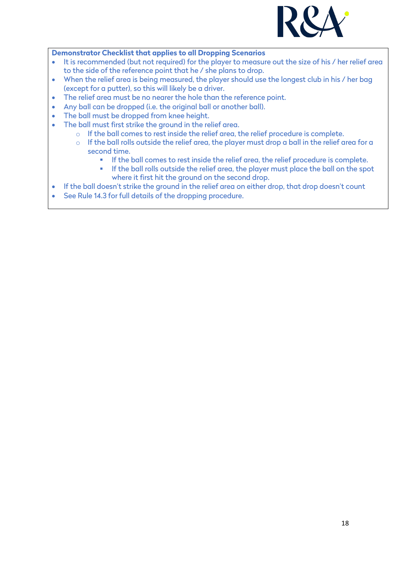

#### **Demonstrator Checklist that applies to all Dropping Scenarios**

- It is recommended (but not required) for the player to measure out the size of his / her relief area to the side of the reference point that he / she plans to drop.
- When the relief area is being measured, the player should use the longest club in his / her bag (except for a putter), so this will likely be a driver.
- The relief area must be no nearer the hole than the reference point.
- Any ball can be dropped (i.e. the original ball or another ball).
- The ball must be dropped from knee height.
- The ball must first strike the ground in the relief area.
	- o If the ball comes to rest inside the relief area, the relief procedure is complete.
	- o If the ball rolls outside the relief area, the player must drop a ball in the relief area for a second time.
		- If the ball comes to rest inside the relief area, the relief procedure is complete.
		- **If the ball rolls outside the relief area, the player must place the ball on the spot** where it first hit the ground on the second drop.
- If the ball doesn't strike the ground in the relief area on either drop, that drop doesn't count
- See Rule 14.3 for full details of the dropping procedure.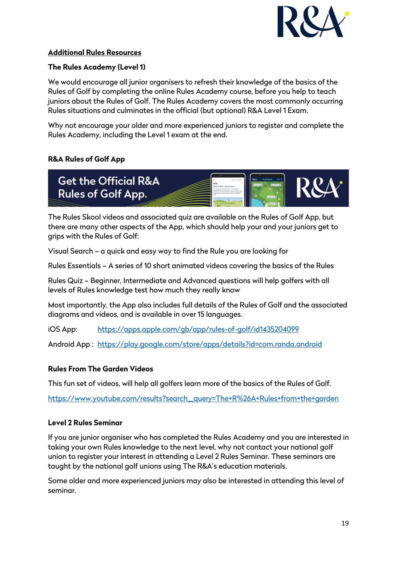

### **Additional Rules Resources**

### **The Rules Academy (Level 1)**

We would encourage all junior organisers to refresh their knowledge of the basics of the Rules of Golf by completing the online Rules Academy course, before you help to teach juniors about the Rules of Golf. The Rules Academy covers the most commonly occurring Rules situations and culminates in the official (but optional) R&A Level 1 Exam.

Why not encourage your older and more experienced juniors to register and complete the Rules Academy, including the Level 1 exam at the end.

# **R&A Rules of Golf App**



The Rules Skool videos and associated quiz are available on the Rules of Golf App, but there are many other aspects of the App, which should help your and your juniors get to grips with the Rules of Golf:

Visual Search – a quick and easy way to find the Rule you are looking for

Rules Essentials – A series of 10 short animated videos covering the basics of the Rules

Rules Quiz – Beginner, Intermediate and Advanced questions will help golfers with all levels of Rules knowledge test how much they really know

Most importantly, the App also includes full details of the Rules of Golf and the associated diagrams and videos, and is available in over 15 languages.

iOS App: <https://apps.apple.com/gb/app/rules-of-golf/id1435204099>

Android App : <https://play.google.com/store/apps/details?id=com.randa.android>

### **Rules From The Garden Videos**

This fun set of videos, will help all golfers learn more of the basics of the Rules of Golf.

[https://www.youtube.com/results?search\\_query=The+R%26A+Rules+from+the+garden](https://www.youtube.com/results?search_query=The+R%26A+Rules+from+the+garden)

### **Level 2 Rules Seminar**

If you are junior organiser who has completed the Rules Academy and you are interested in taking your own Rules knowledge to the next level, why not contact your national golf union to register your interest in attending a Level 2 Rules Seminar. These seminars are taught by the national golf unions using The R&A's education materials.

Some older and more experienced juniors may also be interested in attending this level of seminar.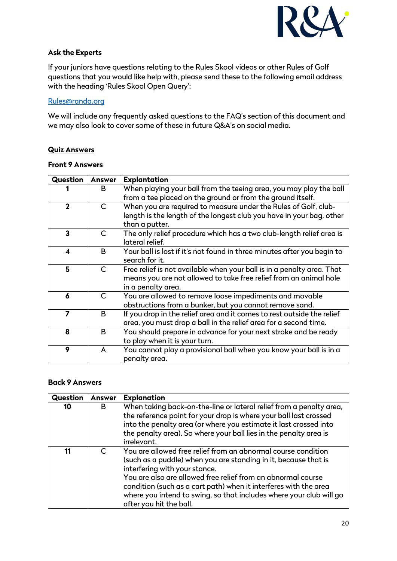

# **Ask the Experts**

If your juniors have questions relating to the Rules Skool videos or other Rules of Golf questions that you would like help with, please send these to the following email address with the heading 'Rules Skool Open Query':

#### [Rules@randa.org](mailto:Rules@randa.org)

We will include any frequently asked questions to the FAQ's section of this document and we may also look to cover some of these in future Q&A's on social media.

#### **Quiz Answers**

#### **Front 9 Answers**

| <b>Question</b>  | <b>Answer</b> | <b>Explantation</b>                                                     |
|------------------|---------------|-------------------------------------------------------------------------|
|                  | B             | When playing your ball from the teeing area, you may play the ball      |
|                  |               | from a tee placed on the ground or from the ground itself.              |
| $\mathbf{2}$     | $\mathsf{C}$  | When you are required to measure under the Rules of Golf, club-         |
|                  |               | length is the length of the longest club you have in your bag, other    |
|                  |               | than a putter.                                                          |
| 3                | C             | The only relief procedure which has a two club-length relief area is    |
|                  |               | lateral relief.                                                         |
| $\blacktriangle$ | B.            | Your ball is lost if it's not found in three minutes after you begin to |
|                  |               | search for it.                                                          |
| 5                | $\mathsf{C}$  | Free relief is not available when your ball is in a penalty area. That  |
|                  |               | means you are not allowed to take free relief from an animal hole       |
|                  |               | in a penalty area.                                                      |
| 6                | $\mathsf{C}$  | You are allowed to remove loose impediments and movable                 |
|                  |               | obstructions from a bunker, but you cannot remove sand.                 |
| $\overline{ }$   | B             | If you drop in the relief area and it comes to rest outside the relief  |
|                  |               | area, you must drop a ball in the relief area for a second time.        |
| 8                | B             | You should prepare in advance for your next stroke and be ready         |
|                  |               | to play when it is your turn.                                           |
| 9                | A             | You cannot play a provisional ball when you know your ball is in a      |
|                  |               | penalty area.                                                           |

#### **Back 9 Answers**

| <b>Question</b> | <b>Answer</b> | <b>Explanation</b>                                                                                                                                                                                                                                                                                                                                                                                      |
|-----------------|---------------|---------------------------------------------------------------------------------------------------------------------------------------------------------------------------------------------------------------------------------------------------------------------------------------------------------------------------------------------------------------------------------------------------------|
| 10              | B             | When taking back-on-the-line or lateral relief from a penalty area,<br>the reference point for your drop is where your ball last crossed<br>into the penalty area (or where you estimate it last crossed into<br>the penalty area). So where your ball lies in the penalty area is<br>irrelevant.                                                                                                       |
| 11              |               | You are allowed free relief from an abnormal course condition<br>(such as a puddle) when you are standing in it, because that is<br>interfering with your stance.<br>You are also are allowed free relief from an abnormal course<br>condition (such as a cart path) when it interferes with the area<br>where you intend to swing, so that includes where your club will go<br>after you hit the ball. |